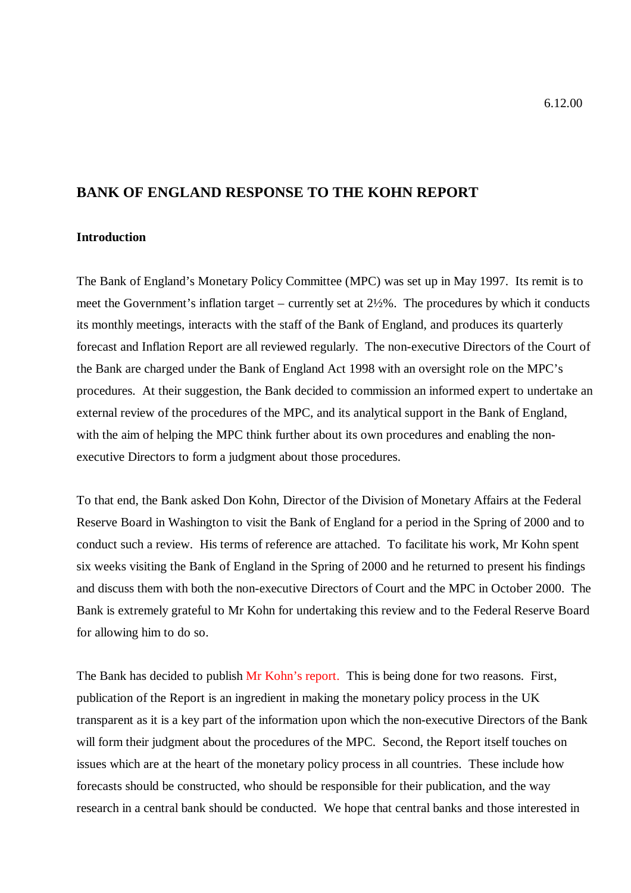# **BANK OF ENGLAND RESPONSE TO THE KOHN REPORT**

# **Introduction**

The Bank of England's Monetary Policy Committee (MPC) was set up in May 1997. Its remit is to meet the Government's inflation target – currently set at 2½%. The procedures by which it conducts its monthly meetings, interacts with the staff of the Bank of England, and produces its quarterly forecast and Inflation Report are all reviewed regularly. The non-executive Directors of the Court of the Bank are charged under the Bank of England Act 1998 with an oversight role on the MPC's procedures. At their suggestion, the Bank decided to commission an informed expert to undertake an external review of the procedures of the MPC, and its analytical support in the Bank of England, with the aim of helping the MPC think further about its own procedures and enabling the nonexecutive Directors to form a judgment about those procedures.

To that end, the Bank asked Don Kohn, Director of the Division of Monetary Affairs at the Federal Reserve Board in Washington to visit the Bank of England for a period in the Spring of 2000 and to conduct such a review. His terms of reference are attached. To facilitate his work, Mr Kohn spent six weeks visiting the Bank of England in the Spring of 2000 and he returned to present his findings and discuss them with both the non-executive Directors of Court and the MPC in October 2000. The Bank is extremely grateful to Mr Kohn for undertaking this review and to the Federal Reserve Board for allowing him to do so.

The Bank has decided to publish [Mr Kohn's report](kohn.pdf). This is being done for two reasons. First, publication of the Report is an ingredient in making the monetary policy process in the UK transparent as it is a key part of the information upon which the non-executive Directors of the Bank will form their judgment about the procedures of the MPC. Second, the Report itself touches on issues which are at the heart of the monetary policy process in all countries. These include how forecasts should be constructed, who should be responsible for their publication, and the way research in a central bank should be conducted. We hope that central banks and those interested in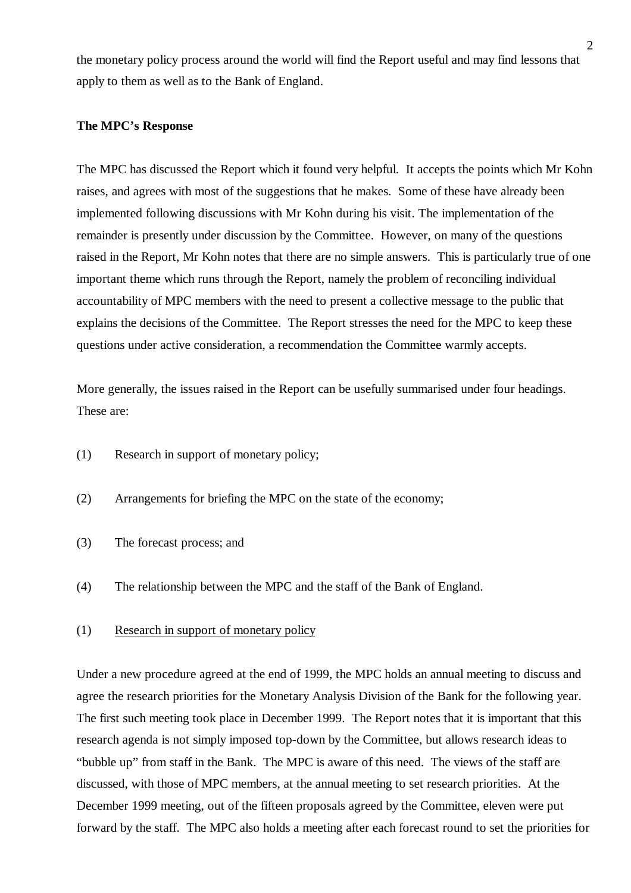the monetary policy process around the world will find the Report useful and may find lessons that apply to them as well as to the Bank of England.

#### **The MPC's Response**

The MPC has discussed the Report which it found very helpful. It accepts the points which Mr Kohn raises, and agrees with most of the suggestions that he makes. Some of these have already been implemented following discussions with Mr Kohn during his visit. The implementation of the remainder is presently under discussion by the Committee. However, on many of the questions raised in the Report, Mr Kohn notes that there are no simple answers. This is particularly true of one important theme which runs through the Report, namely the problem of reconciling individual accountability of MPC members with the need to present a collective message to the public that explains the decisions of the Committee. The Report stresses the need for the MPC to keep these questions under active consideration, a recommendation the Committee warmly accepts.

More generally, the issues raised in the Report can be usefully summarised under four headings. These are:

- (1) Research in support of monetary policy;
- (2) Arrangements for briefing the MPC on the state of the economy;
- (3) The forecast process; and
- (4) The relationship between the MPC and the staff of the Bank of England.
- (1) Research in support of monetary policy

Under a new procedure agreed at the end of 1999, the MPC holds an annual meeting to discuss and agree the research priorities for the Monetary Analysis Division of the Bank for the following year. The first such meeting took place in December 1999. The Report notes that it is important that this research agenda is not simply imposed top-down by the Committee, but allows research ideas to "bubble up" from staff in the Bank. The MPC is aware of this need. The views of the staff are discussed, with those of MPC members, at the annual meeting to set research priorities. At the December 1999 meeting, out of the fifteen proposals agreed by the Committee, eleven were put forward by the staff. The MPC also holds a meeting after each forecast round to set the priorities for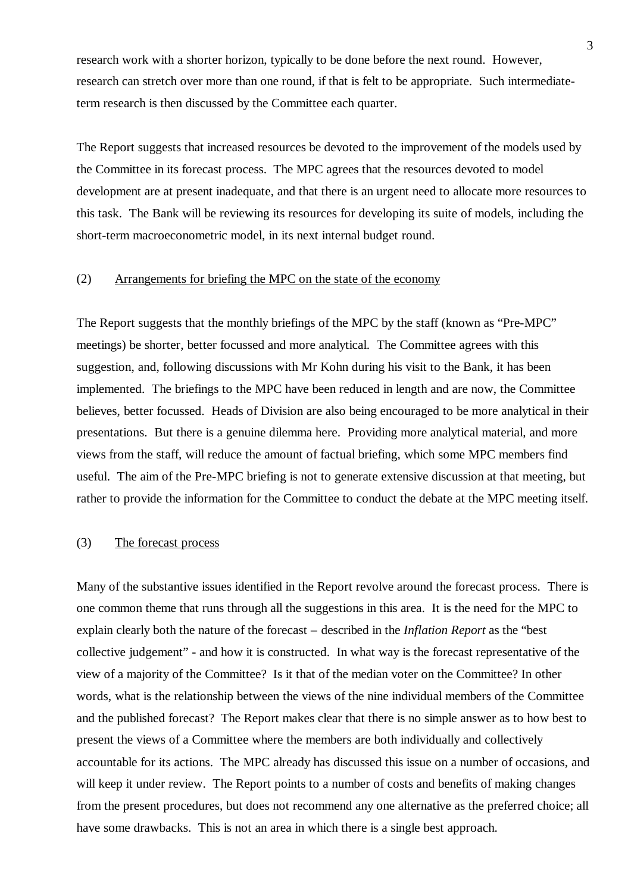research work with a shorter horizon, typically to be done before the next round. However, research can stretch over more than one round, if that is felt to be appropriate. Such intermediateterm research is then discussed by the Committee each quarter.

The Report suggests that increased resources be devoted to the improvement of the models used by the Committee in its forecast process. The MPC agrees that the resources devoted to model development are at present inadequate, and that there is an urgent need to allocate more resources to this task. The Bank will be reviewing its resources for developing its suite of models, including the short-term macroeconometric model, in its next internal budget round.

## (2) Arrangements for briefing the MPC on the state of the economy

The Report suggests that the monthly briefings of the MPC by the staff (known as "Pre-MPC" meetings) be shorter, better focussed and more analytical. The Committee agrees with this suggestion, and, following discussions with Mr Kohn during his visit to the Bank, it has been implemented. The briefings to the MPC have been reduced in length and are now, the Committee believes, better focussed. Heads of Division are also being encouraged to be more analytical in their presentations. But there is a genuine dilemma here. Providing more analytical material, and more views from the staff, will reduce the amount of factual briefing, which some MPC members find useful. The aim of the Pre-MPC briefing is not to generate extensive discussion at that meeting, but rather to provide the information for the Committee to conduct the debate at the MPC meeting itself.

## (3) The forecast process

Many of the substantive issues identified in the Report revolve around the forecast process. There is one common theme that runs through all the suggestions in this area. It is the need for the MPC to explain clearly both the nature of the forecast – described in the *Inflation Report* as the "best collective judgement" - and how it is constructed. In what way is the forecast representative of the view of a majority of the Committee? Is it that of the median voter on the Committee? In other words, what is the relationship between the views of the nine individual members of the Committee and the published forecast? The Report makes clear that there is no simple answer as to how best to present the views of a Committee where the members are both individually and collectively accountable for its actions. The MPC already has discussed this issue on a number of occasions, and will keep it under review. The Report points to a number of costs and benefits of making changes from the present procedures, but does not recommend any one alternative as the preferred choice; all have some drawbacks. This is not an area in which there is a single best approach.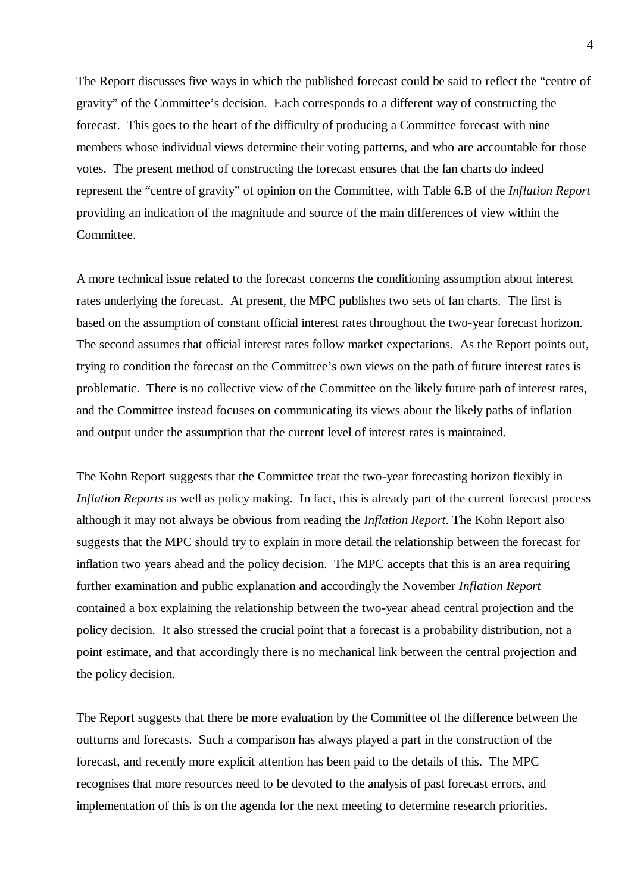The Report discusses five ways in which the published forecast could be said to reflect the "centre of gravity" of the Committee's decision. Each corresponds to a different way of constructing the forecast. This goes to the heart of the difficulty of producing a Committee forecast with nine members whose individual views determine their voting patterns, and who are accountable for those votes. The present method of constructing the forecast ensures that the fan charts do indeed represent the "centre of gravity" of opinion on the Committee, with Table 6.B of the *Inflation Report* providing an indication of the magnitude and source of the main differences of view within the Committee.

A more technical issue related to the forecast concerns the conditioning assumption about interest rates underlying the forecast. At present, the MPC publishes two sets of fan charts. The first is based on the assumption of constant official interest rates throughout the two-year forecast horizon. The second assumes that official interest rates follow market expectations. As the Report points out, trying to condition the forecast on the Committee's own views on the path of future interest rates is problematic. There is no collective view of the Committee on the likely future path of interest rates, and the Committee instead focuses on communicating its views about the likely paths of inflation and output under the assumption that the current level of interest rates is maintained.

The Kohn Report suggests that the Committee treat the two-year forecasting horizon flexibly in *Inflation Reports* as well as policy making. In fact, this is already part of the current forecast process although it may not always be obvious from reading the *Inflation Report*. The Kohn Report also suggests that the MPC should try to explain in more detail the relationship between the forecast for inflation two years ahead and the policy decision. The MPC accepts that this is an area requiring further examination and public explanation and accordingly the November *Inflation Report* contained a box explaining the relationship between the two-year ahead central projection and the policy decision. It also stressed the crucial point that a forecast is a probability distribution, not a point estimate, and that accordingly there is no mechanical link between the central projection and the policy decision.

The Report suggests that there be more evaluation by the Committee of the difference between the outturns and forecasts. Such a comparison has always played a part in the construction of the forecast, and recently more explicit attention has been paid to the details of this. The MPC recognises that more resources need to be devoted to the analysis of past forecast errors, and implementation of this is on the agenda for the next meeting to determine research priorities.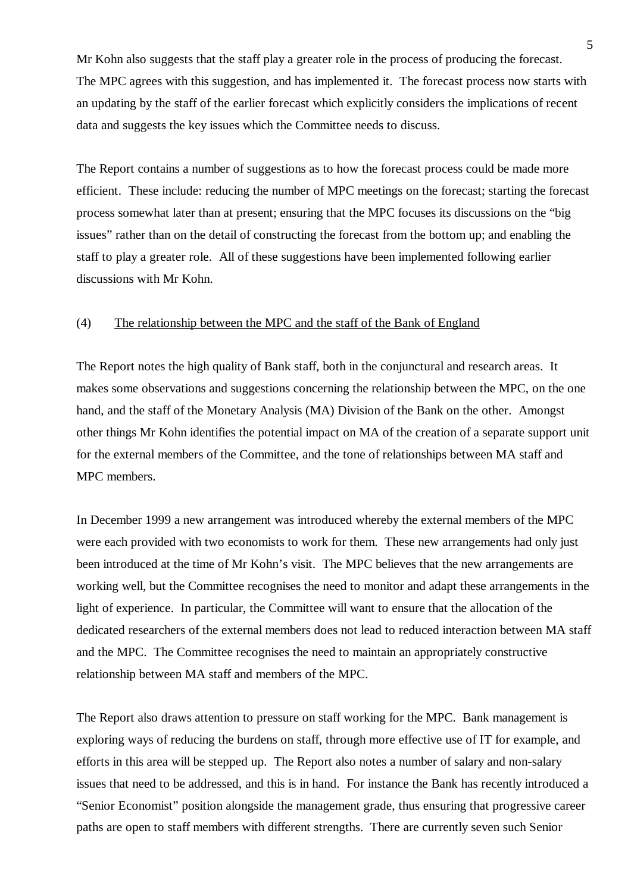Mr Kohn also suggests that the staff play a greater role in the process of producing the forecast. The MPC agrees with this suggestion, and has implemented it. The forecast process now starts with an updating by the staff of the earlier forecast which explicitly considers the implications of recent data and suggests the key issues which the Committee needs to discuss.

The Report contains a number of suggestions as to how the forecast process could be made more efficient. These include: reducing the number of MPC meetings on the forecast; starting the forecast process somewhat later than at present; ensuring that the MPC focuses its discussions on the "big issues" rather than on the detail of constructing the forecast from the bottom up; and enabling the staff to play a greater role. All of these suggestions have been implemented following earlier discussions with Mr Kohn.

## (4) The relationship between the MPC and the staff of the Bank of England

The Report notes the high quality of Bank staff, both in the conjunctural and research areas. It makes some observations and suggestions concerning the relationship between the MPC, on the one hand, and the staff of the Monetary Analysis (MA) Division of the Bank on the other. Amongst other things Mr Kohn identifies the potential impact on MA of the creation of a separate support unit for the external members of the Committee, and the tone of relationships between MA staff and MPC members.

In December 1999 a new arrangement was introduced whereby the external members of the MPC were each provided with two economists to work for them. These new arrangements had only just been introduced at the time of Mr Kohn's visit. The MPC believes that the new arrangements are working well, but the Committee recognises the need to monitor and adapt these arrangements in the light of experience. In particular, the Committee will want to ensure that the allocation of the dedicated researchers of the external members does not lead to reduced interaction between MA staff and the MPC. The Committee recognises the need to maintain an appropriately constructive relationship between MA staff and members of the MPC.

The Report also draws attention to pressure on staff working for the MPC. Bank management is exploring ways of reducing the burdens on staff, through more effective use of IT for example, and efforts in this area will be stepped up. The Report also notes a number of salary and non-salary issues that need to be addressed, and this is in hand. For instance the Bank has recently introduced a "Senior Economist" position alongside the management grade, thus ensuring that progressive career paths are open to staff members with different strengths. There are currently seven such Senior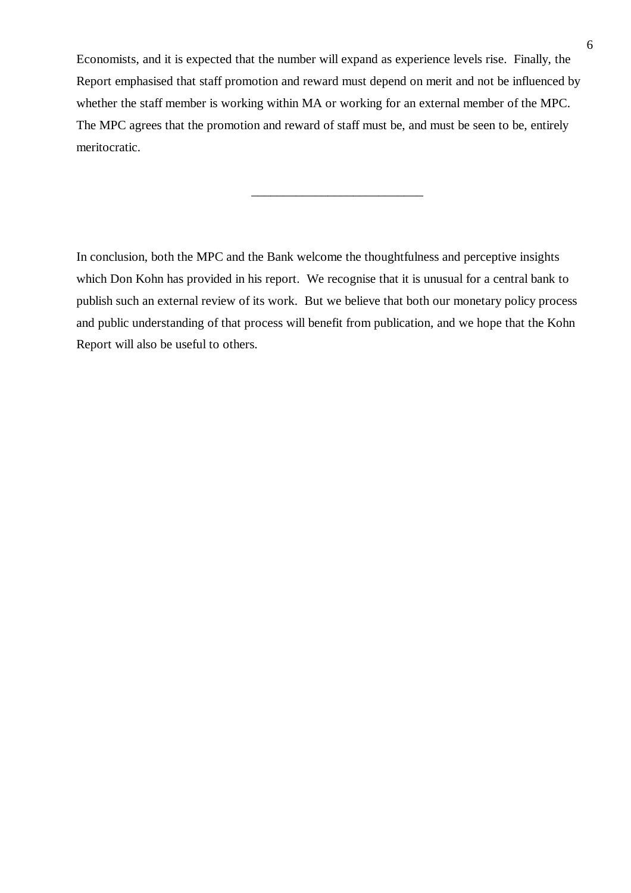Economists, and it is expected that the number will expand as experience levels rise. Finally, the Report emphasised that staff promotion and reward must depend on merit and not be influenced by whether the staff member is working within MA or working for an external member of the MPC. The MPC agrees that the promotion and reward of staff must be, and must be seen to be, entirely meritocratic.

 $\frac{1}{2}$  ,  $\frac{1}{2}$  ,  $\frac{1}{2}$  ,  $\frac{1}{2}$  ,  $\frac{1}{2}$  ,  $\frac{1}{2}$  ,  $\frac{1}{2}$  ,  $\frac{1}{2}$  ,  $\frac{1}{2}$  ,  $\frac{1}{2}$  ,  $\frac{1}{2}$  ,  $\frac{1}{2}$  ,  $\frac{1}{2}$  ,  $\frac{1}{2}$  ,  $\frac{1}{2}$  ,  $\frac{1}{2}$  ,  $\frac{1}{2}$  ,  $\frac{1}{2}$  ,  $\frac{1$ 

In conclusion, both the MPC and the Bank welcome the thoughtfulness and perceptive insights which Don Kohn has provided in his report. We recognise that it is unusual for a central bank to publish such an external review of its work. But we believe that both our monetary policy process and public understanding of that process will benefit from publication, and we hope that the Kohn Report will also be useful to others.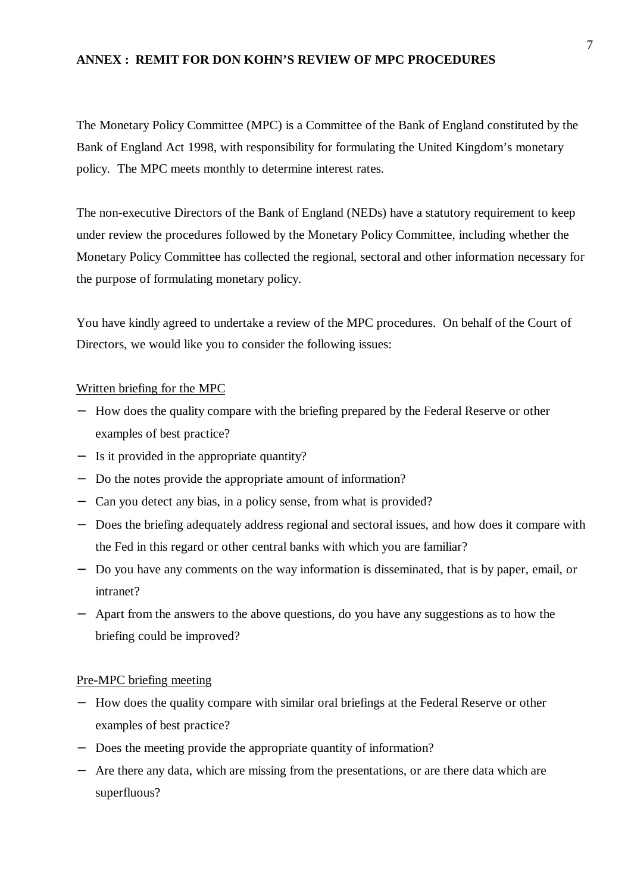## **ANNEX : REMIT FOR DON KOHN'S REVIEW OF MPC PROCEDURES**

The Monetary Policy Committee (MPC) is a Committee of the Bank of England constituted by the Bank of England Act 1998, with responsibility for formulating the United Kingdom's monetary policy. The MPC meets monthly to determine interest rates.

The non-executive Directors of the Bank of England (NEDs) have a statutory requirement to keep under review the procedures followed by the Monetary Policy Committee, including whether the Monetary Policy Committee has collected the regional, sectoral and other information necessary for the purpose of formulating monetary policy.

You have kindly agreed to undertake a review of the MPC procedures. On behalf of the Court of Directors, we would like you to consider the following issues:

## Written briefing for the MPC

- − How does the quality compare with the briefing prepared by the Federal Reserve or other examples of best practice?
- − Is it provided in the appropriate quantity?
- − Do the notes provide the appropriate amount of information?
- − Can you detect any bias, in a policy sense, from what is provided?
- − Does the briefing adequately address regional and sectoral issues, and how does it compare with the Fed in this regard or other central banks with which you are familiar?
- − Do you have any comments on the way information is disseminated, that is by paper, email, or intranet?
- − Apart from the answers to the above questions, do you have any suggestions as to how the briefing could be improved?

#### Pre-MPC briefing meeting

- − How does the quality compare with similar oral briefings at the Federal Reserve or other examples of best practice?
- − Does the meeting provide the appropriate quantity of information?
- − Are there any data, which are missing from the presentations, or are there data which are superfluous?